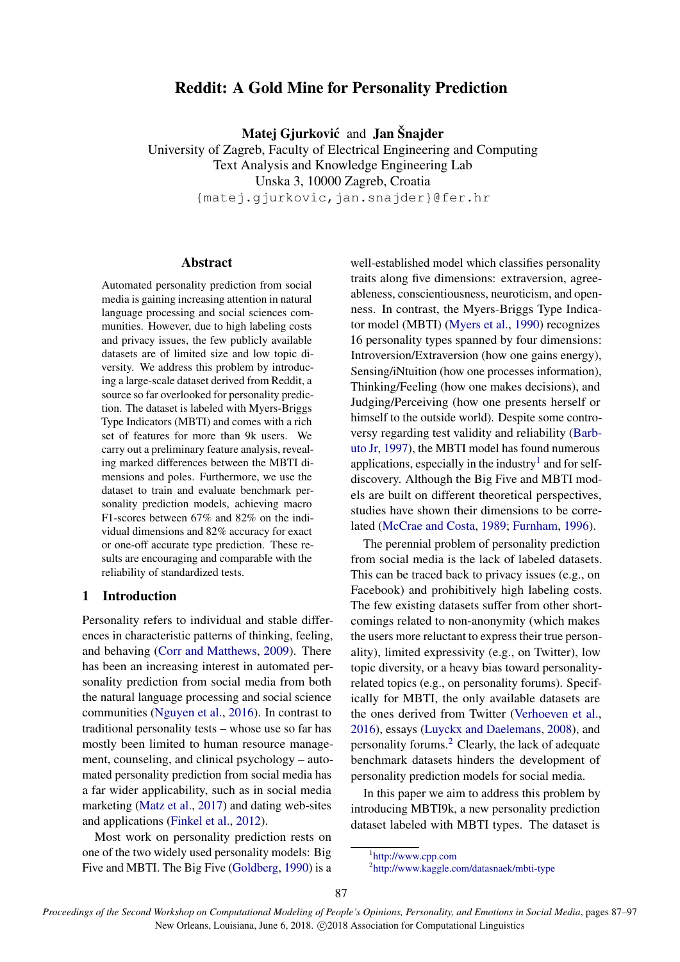# Reddit: A Gold Mine for Personality Prediction

Matej Gjurković and Jan Šnajder

University of Zagreb, Faculty of Electrical Engineering and Computing Text Analysis and Knowledge Engineering Lab Unska 3, 10000 Zagreb, Croatia {matej.gjurkovic,jan.snajder}@fer.hr

Abstract

Automated personality prediction from social media is gaining increasing attention in natural language processing and social sciences communities. However, due to high labeling costs and privacy issues, the few publicly available datasets are of limited size and low topic diversity. We address this problem by introducing a large-scale dataset derived from Reddit, a source so far overlooked for personality prediction. The dataset is labeled with Myers-Briggs Type Indicators (MBTI) and comes with a rich set of features for more than 9k users. We carry out a preliminary feature analysis, revealing marked differences between the MBTI dimensions and poles. Furthermore, we use the dataset to train and evaluate benchmark personality prediction models, achieving macro F1-scores between 67% and 82% on the individual dimensions and 82% accuracy for exact or one-off accurate type prediction. These results are encouraging and comparable with the reliability of standardized tests.

# 1 Introduction

Personality refers to individual and stable differences in characteristic patterns of thinking, feeling, and behaving (Corr and Matthews, 2009). There has been an increasing interest in automated personality prediction from social media from both the natural language processing and social science communities (Nguyen et al., 2016). In contrast to traditional personality tests – whose use so far has mostly been limited to human resource management, counseling, and clinical psychology – automated personality prediction from social media has a far wider applicability, such as in social media marketing (Matz et al., 2017) and dating web-sites and applications (Finkel et al., 2012).

Most work on personality prediction rests on one of the two widely used personality models: Big Five and MBTI. The Big Five (Goldberg, 1990) is a

well-established model which classifies personality traits along five dimensions: extraversion, agreeableness, conscientiousness, neuroticism, and openness. In contrast, the Myers-Briggs Type Indicator model (MBTI) (Myers et al., 1990) recognizes 16 personality types spanned by four dimensions: Introversion/Extraversion (how one gains energy), Sensing/iNtuition (how one processes information), Thinking/Feeling (how one makes decisions), and Judging/Perceiving (how one presents herself or himself to the outside world). Despite some controversy regarding test validity and reliability (Barbuto Jr, 1997), the MBTI model has found numerous applications, especially in the industry<sup>1</sup> and for selfdiscovery. Although the Big Five and MBTI models are built on different theoretical perspectives, studies have shown their dimensions to be correlated (McCrae and Costa, 1989; Furnham, 1996).

The perennial problem of personality prediction from social media is the lack of labeled datasets. This can be traced back to privacy issues (e.g., on Facebook) and prohibitively high labeling costs. The few existing datasets suffer from other shortcomings related to non-anonymity (which makes the users more reluctant to express their true personality), limited expressivity (e.g., on Twitter), low topic diversity, or a heavy bias toward personalityrelated topics (e.g., on personality forums). Specifically for MBTI, the only available datasets are the ones derived from Twitter (Verhoeven et al., 2016), essays (Luyckx and Daelemans, 2008), and personality forums.<sup>2</sup> Clearly, the lack of adequate benchmark datasets hinders the development of personality prediction models for social media.

In this paper we aim to address this problem by introducing MBTI9k, a new personality prediction dataset labeled with MBTI types. The dataset is

<sup>1</sup> http://www.cpp.com

<sup>2</sup> http://www.kaggle.com/datasnaek/mbti-type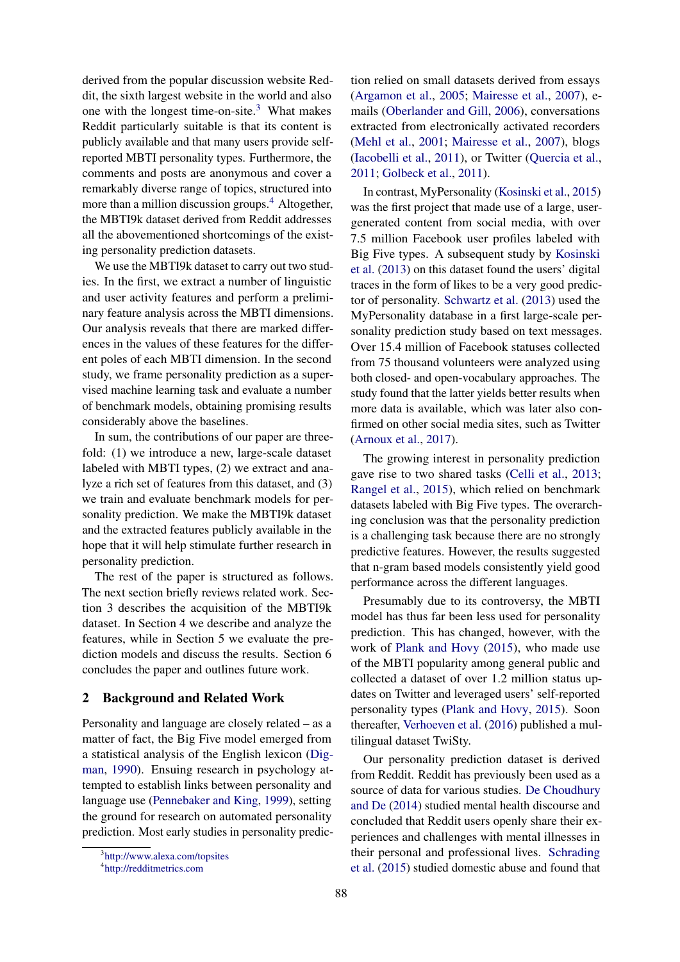derived from the popular discussion website Reddit, the sixth largest website in the world and also one with the longest time-on-site. $3$  What makes Reddit particularly suitable is that its content is publicly available and that many users provide selfreported MBTI personality types. Furthermore, the comments and posts are anonymous and cover a remarkably diverse range of topics, structured into more than a million discussion groups.<sup>4</sup> Altogether, the MBTI9k dataset derived from Reddit addresses all the abovementioned shortcomings of the existing personality prediction datasets.

We use the MBTI9k dataset to carry out two studies. In the first, we extract a number of linguistic and user activity features and perform a preliminary feature analysis across the MBTI dimensions. Our analysis reveals that there are marked differences in the values of these features for the different poles of each MBTI dimension. In the second study, we frame personality prediction as a supervised machine learning task and evaluate a number of benchmark models, obtaining promising results considerably above the baselines.

In sum, the contributions of our paper are threefold: (1) we introduce a new, large-scale dataset labeled with MBTI types, (2) we extract and analyze a rich set of features from this dataset, and (3) we train and evaluate benchmark models for personality prediction. We make the MBTI9k dataset and the extracted features publicly available in the hope that it will help stimulate further research in personality prediction.

The rest of the paper is structured as follows. The next section briefly reviews related work. Section 3 describes the acquisition of the MBTI9k dataset. In Section 4 we describe and analyze the features, while in Section 5 we evaluate the prediction models and discuss the results. Section 6 concludes the paper and outlines future work.

# 2 Background and Related Work

Personality and language are closely related – as a matter of fact, the Big Five model emerged from a statistical analysis of the English lexicon (Digman, 1990). Ensuing research in psychology attempted to establish links between personality and language use (Pennebaker and King, 1999), setting the ground for research on automated personality prediction. Most early studies in personality predic-

tion relied on small datasets derived from essays (Argamon et al., 2005; Mairesse et al., 2007), emails (Oberlander and Gill, 2006), conversations extracted from electronically activated recorders (Mehl et al., 2001; Mairesse et al., 2007), blogs (Iacobelli et al., 2011), or Twitter (Quercia et al., 2011; Golbeck et al., 2011).

In contrast, MyPersonality (Kosinski et al., 2015) was the first project that made use of a large, usergenerated content from social media, with over 7.5 million Facebook user profiles labeled with Big Five types. A subsequent study by Kosinski et al. (2013) on this dataset found the users' digital traces in the form of likes to be a very good predictor of personality. Schwartz et al. (2013) used the MyPersonality database in a first large-scale personality prediction study based on text messages. Over 15.4 million of Facebook statuses collected from 75 thousand volunteers were analyzed using both closed- and open-vocabulary approaches. The study found that the latter yields better results when more data is available, which was later also confirmed on other social media sites, such as Twitter (Arnoux et al., 2017).

The growing interest in personality prediction gave rise to two shared tasks (Celli et al., 2013; Rangel et al., 2015), which relied on benchmark datasets labeled with Big Five types. The overarching conclusion was that the personality prediction is a challenging task because there are no strongly predictive features. However, the results suggested that n-gram based models consistently yield good performance across the different languages.

Presumably due to its controversy, the MBTI model has thus far been less used for personality prediction. This has changed, however, with the work of Plank and Hovy (2015), who made use of the MBTI popularity among general public and collected a dataset of over 1.2 million status updates on Twitter and leveraged users' self-reported personality types (Plank and Hovy, 2015). Soon thereafter, Verhoeven et al. (2016) published a multilingual dataset TwiSty.

Our personality prediction dataset is derived from Reddit. Reddit has previously been used as a source of data for various studies. De Choudhury and De (2014) studied mental health discourse and concluded that Reddit users openly share their experiences and challenges with mental illnesses in their personal and professional lives. Schrading et al. (2015) studied domestic abuse and found that

<sup>3</sup> http://www.alexa.com/topsites

<sup>4</sup> http://redditmetrics.com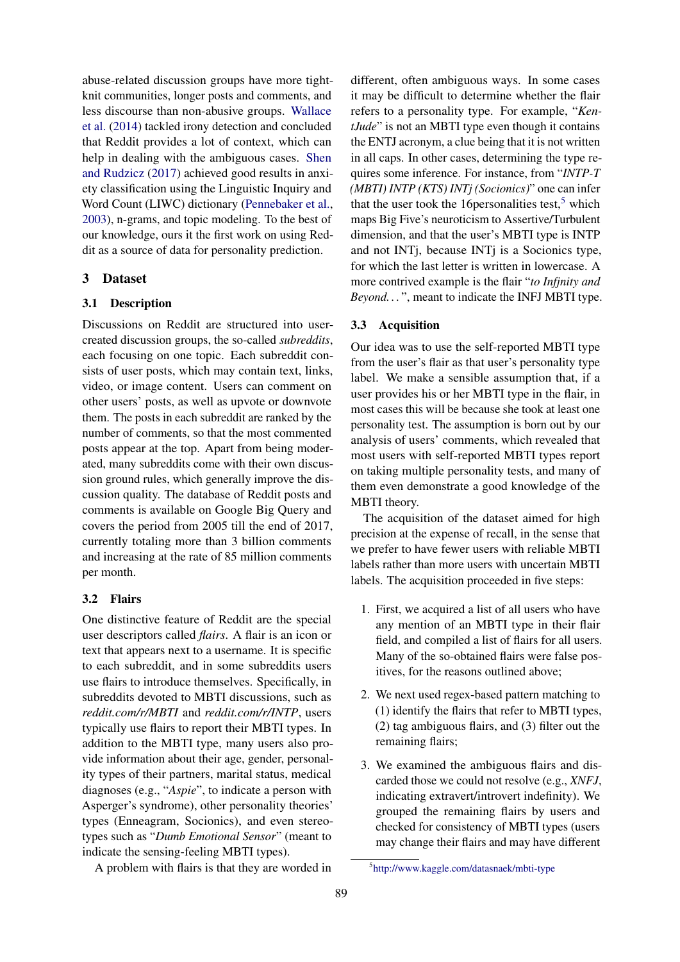abuse-related discussion groups have more tightknit communities, longer posts and comments, and less discourse than non-abusive groups. Wallace et al. (2014) tackled irony detection and concluded that Reddit provides a lot of context, which can help in dealing with the ambiguous cases. Shen and Rudzicz (2017) achieved good results in anxiety classification using the Linguistic Inquiry and Word Count (LIWC) dictionary (Pennebaker et al., 2003), n-grams, and topic modeling. To the best of our knowledge, ours it the first work on using Reddit as a source of data for personality prediction.

# 3 Dataset

# 3.1 Description

Discussions on Reddit are structured into usercreated discussion groups, the so-called *subreddits*, each focusing on one topic. Each subreddit consists of user posts, which may contain text, links, video, or image content. Users can comment on other users' posts, as well as upvote or downvote them. The posts in each subreddit are ranked by the number of comments, so that the most commented posts appear at the top. Apart from being moderated, many subreddits come with their own discussion ground rules, which generally improve the discussion quality. The database of Reddit posts and comments is available on Google Big Query and covers the period from 2005 till the end of 2017, currently totaling more than 3 billion comments and increasing at the rate of 85 million comments per month.

# 3.2 Flairs

One distinctive feature of Reddit are the special user descriptors called *flairs*. A flair is an icon or text that appears next to a username. It is specific to each subreddit, and in some subreddits users use flairs to introduce themselves. Specifically, in subreddits devoted to MBTI discussions, such as *reddit.com/r/MBTI* and *reddit.com/r/INTP*, users typically use flairs to report their MBTI types. In addition to the MBTI type, many users also provide information about their age, gender, personality types of their partners, marital status, medical diagnoses (e.g., "*Aspie*", to indicate a person with Asperger's syndrome), other personality theories' types (Enneagram, Socionics), and even stereotypes such as "*Dumb Emotional Sensor*" (meant to indicate the sensing-feeling MBTI types).

different, often ambiguous ways. In some cases it may be difficult to determine whether the flair refers to a personality type. For example, "*KentJude*" is not an MBTI type even though it contains the ENTJ acronym, a clue being that it is not written in all caps. In other cases, determining the type requires some inference. For instance, from "*INTP-T (MBTI) INTP (KTS) INTj (Socionics)*" one can infer that the user took the 16 personalities test,<sup>5</sup> which maps Big Five's neuroticism to Assertive/Turbulent dimension, and that the user's MBTI type is INTP and not INTj, because INTj is a Socionics type, for which the last letter is written in lowercase. A more contrived example is the flair "*to Infjnity and Beyond. . .* ", meant to indicate the INFJ MBTI type.

### 3.3 Acquisition

Our idea was to use the self-reported MBTI type from the user's flair as that user's personality type label. We make a sensible assumption that, if a user provides his or her MBTI type in the flair, in most cases this will be because she took at least one personality test. The assumption is born out by our analysis of users' comments, which revealed that most users with self-reported MBTI types report on taking multiple personality tests, and many of them even demonstrate a good knowledge of the MBTI theory.

The acquisition of the dataset aimed for high precision at the expense of recall, in the sense that we prefer to have fewer users with reliable MBTI labels rather than more users with uncertain MBTI labels. The acquisition proceeded in five steps:

- 1. First, we acquired a list of all users who have any mention of an MBTI type in their flair field, and compiled a list of flairs for all users. Many of the so-obtained flairs were false positives, for the reasons outlined above;
- 2. We next used regex-based pattern matching to (1) identify the flairs that refer to MBTI types, (2) tag ambiguous flairs, and (3) filter out the remaining flairs;
- 3. We examined the ambiguous flairs and discarded those we could not resolve (e.g., *XNFJ*, indicating extravert/introvert indefinity). We grouped the remaining flairs by users and checked for consistency of MBTI types (users may change their flairs and may have different

A problem with flairs is that they are worded in

<sup>5</sup> http://www.kaggle.com/datasnaek/mbti-type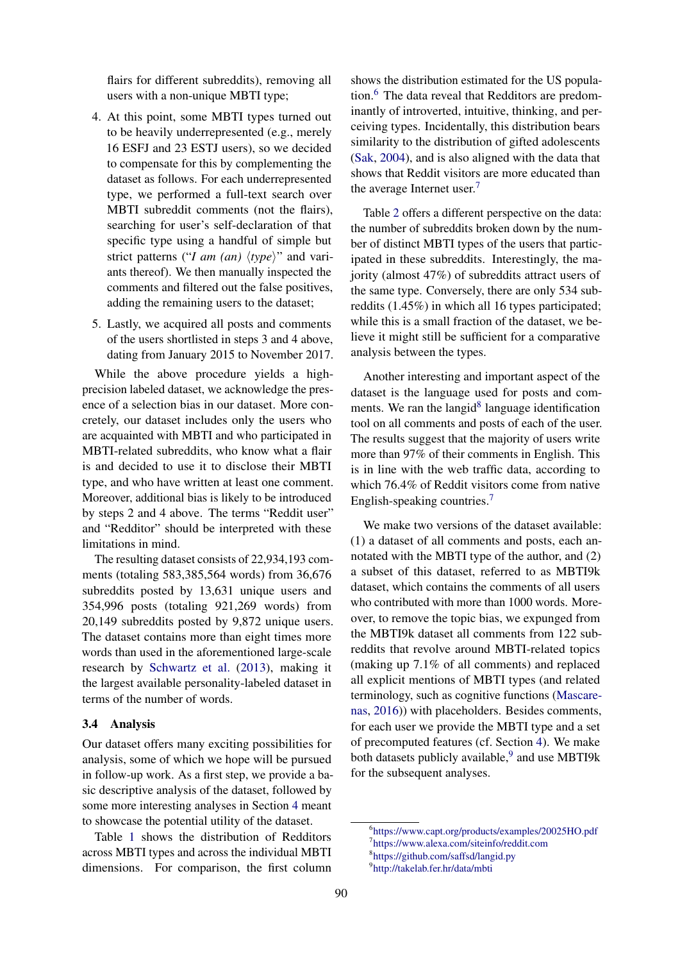flairs for different subreddits), removing all users with a non-unique MBTI type;

- 4. At this point, some MBTI types turned out to be heavily underrepresented (e.g., merely 16 ESFJ and 23 ESTJ users), so we decided to compensate for this by complementing the dataset as follows. For each underrepresented type, we performed a full-text search over MBTI subreddit comments (not the flairs), searching for user's self-declaration of that specific type using a handful of simple but strict patterns ("*I am (an)*  $\langle type \rangle$ " and variants thereof). We then manually inspected the comments and filtered out the false positives, adding the remaining users to the dataset;
- 5. Lastly, we acquired all posts and comments of the users shortlisted in steps 3 and 4 above, dating from January 2015 to November 2017.

While the above procedure yields a highprecision labeled dataset, we acknowledge the presence of a selection bias in our dataset. More concretely, our dataset includes only the users who are acquainted with MBTI and who participated in MBTI-related subreddits, who know what a flair is and decided to use it to disclose their MBTI type, and who have written at least one comment. Moreover, additional bias is likely to be introduced by steps 2 and 4 above. The terms "Reddit user" and "Redditor" should be interpreted with these limitations in mind.

The resulting dataset consists of 22,934,193 comments (totaling 583,385,564 words) from 36,676 subreddits posted by 13,631 unique users and 354,996 posts (totaling 921,269 words) from 20,149 subreddits posted by 9,872 unique users. The dataset contains more than eight times more words than used in the aforementioned large-scale research by Schwartz et al. (2013), making it the largest available personality-labeled dataset in terms of the number of words.

#### 3.4 Analysis

Our dataset offers many exciting possibilities for analysis, some of which we hope will be pursued in follow-up work. As a first step, we provide a basic descriptive analysis of the dataset, followed by some more interesting analyses in Section 4 meant to showcase the potential utility of the dataset.

Table 1 shows the distribution of Redditors across MBTI types and across the individual MBTI dimensions. For comparison, the first column shows the distribution estimated for the US population.<sup>6</sup> The data reveal that Redditors are predominantly of introverted, intuitive, thinking, and perceiving types. Incidentally, this distribution bears similarity to the distribution of gifted adolescents (Sak, 2004), and is also aligned with the data that shows that Reddit visitors are more educated than the average Internet user.<sup>7</sup>

Table 2 offers a different perspective on the data: the number of subreddits broken down by the number of distinct MBTI types of the users that participated in these subreddits. Interestingly, the majority (almost 47%) of subreddits attract users of the same type. Conversely, there are only 534 subreddits (1.45%) in which all 16 types participated; while this is a small fraction of the dataset, we believe it might still be sufficient for a comparative analysis between the types.

Another interesting and important aspect of the dataset is the language used for posts and comments. We ran the langid<sup>8</sup> language identification tool on all comments and posts of each of the user. The results suggest that the majority of users write more than 97% of their comments in English. This is in line with the web traffic data, according to which 76.4% of Reddit visitors come from native English-speaking countries.<sup>7</sup>

We make two versions of the dataset available: (1) a dataset of all comments and posts, each annotated with the MBTI type of the author, and (2) a subset of this dataset, referred to as MBTI9k dataset, which contains the comments of all users who contributed with more than 1000 words. Moreover, to remove the topic bias, we expunged from the MBTI9k dataset all comments from 122 subreddits that revolve around MBTI-related topics (making up 7.1% of all comments) and replaced all explicit mentions of MBTI types (and related terminology, such as cognitive functions (Mascarenas, 2016)) with placeholders. Besides comments, for each user we provide the MBTI type and a set of precomputed features (cf. Section 4). We make both datasets publicly available,<sup>9</sup> and use MBTI9k for the subsequent analyses.

<sup>6</sup> https://www.capt.org/products/examples/20025HO.pdf

<sup>7</sup> https://www.alexa.com/siteinfo/reddit.com

<sup>8</sup> https://github.com/saffsd/langid.py

<sup>9</sup> http://takelab.fer.hr/data/mbti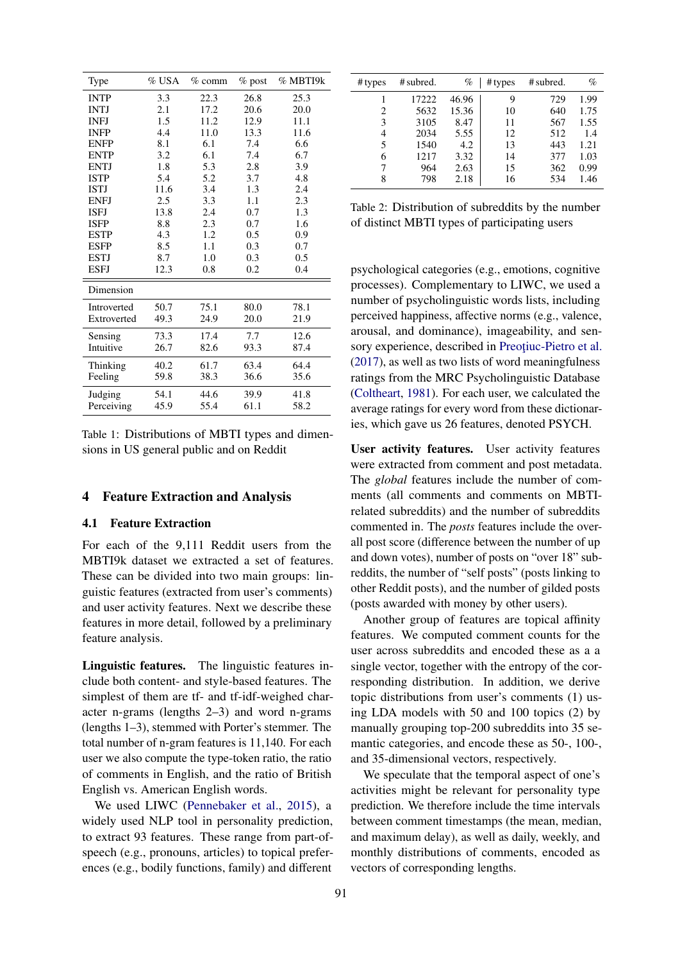| Type        | $%$ USA | $\%$ comm | $\%$ post | % MBTI9k |
|-------------|---------|-----------|-----------|----------|
| <b>INTP</b> | 3.3     | 22.3      | 26.8      | 25.3     |
| <b>INTJ</b> | 2.1     | 17.2      | 20.6      | 20.0     |
| <b>INFJ</b> | 1.5     | 11.2      | 12.9      | 11.1     |
| <b>INFP</b> | 4.4     | 11.0      | 13.3      | 11.6     |
| <b>ENFP</b> | 8.1     | 6.1       | 7.4       | 6.6      |
| <b>ENTP</b> | 3.2     | 6.1       | 7.4       | 6.7      |
| <b>ENTJ</b> | 1.8     | 5.3       | 2.8       | 3.9      |
| <b>ISTP</b> | 5.4     | 5.2       | 3.7       | 4.8      |
| <b>ISTJ</b> | 11.6    | 3.4       | 1.3       | 2.4      |
| <b>ENFJ</b> | 2.5     | 3.3       | 1.1       | 2.3      |
| <b>ISFJ</b> | 13.8    | 2.4       | 0.7       | 1.3      |
| <b>ISFP</b> | 8.8     | 2.3       | 0.7       | 1.6      |
| <b>ESTP</b> | 4.3     | 1.2       | 0.5       | 0.9      |
| <b>ESFP</b> | 8.5     | 1.1       | 0.3       | 0.7      |
| <b>ESTJ</b> | 8.7     | 1.0       | 0.3       | 0.5      |
| <b>ESFJ</b> | 12.3    | 0.8       | 0.2       | 0.4      |
| Dimension   |         |           |           |          |
| Introverted | 50.7    | 75.1      | 80.0      | 78.1     |
| Extroverted | 49.3    | 24.9      | 20.0      | 21.9     |
| Sensing     | 73.3    | 17.4      | 7.7       | 12.6     |
| Intuitive   | 26.7    | 82.6      | 93.3      | 87.4     |
| Thinking    | 40.2    | 61.7      | 63.4      | 64.4     |
| Feeling     | 59.8    | 38.3      | 36.6      | 35.6     |
| Judging     | 54.1    | 44.6      | 39.9      | 41.8     |
| Perceiving  | 45.9    | 55.4      | 61.1      | 58.2     |

Table 1: Distributions of MBTI types and dimensions in US general public and on Reddit

#### 4 Feature Extraction and Analysis

### 4.1 Feature Extraction

For each of the 9,111 Reddit users from the MBTI9k dataset we extracted a set of features. These can be divided into two main groups: linguistic features (extracted from user's comments) and user activity features. Next we describe these features in more detail, followed by a preliminary feature analysis.

Linguistic features. The linguistic features include both content- and style-based features. The simplest of them are tf- and tf-idf-weighed character n-grams (lengths 2–3) and word n-grams (lengths 1–3), stemmed with Porter's stemmer. The total number of n-gram features is 11,140. For each user we also compute the type-token ratio, the ratio of comments in English, and the ratio of British English vs. American English words.

We used LIWC (Pennebaker et al., 2015), a widely used NLP tool in personality prediction, to extract 93 features. These range from part-ofspeech (e.g., pronouns, articles) to topical preferences (e.g., bodily functions, family) and different

| # types | # subred. | $\%$  | # types | # subred. | $\%$ |
|---------|-----------|-------|---------|-----------|------|
|         | 17222     | 46.96 | 9       | 729       | 1.99 |
| 2       | 5632      | 15.36 | 10      | 640       | 1.75 |
| 3       | 3105      | 8.47  | 11      | 567       | 1.55 |
| 4       | 2034      | 5.55  | 12      | 512       | 1.4  |
| 5       | 1540      | 4.2   | 13      | 443       | 1.21 |
| 6       | 1217      | 3.32  | 14      | 377       | 1.03 |
|         | 964       | 2.63  | 15      | 362       | 0.99 |
| 8       | 798       | 2.18  | 16      | 534       | 1.46 |

Table 2: Distribution of subreddits by the number of distinct MBTI types of participating users

psychological categories (e.g., emotions, cognitive processes). Complementary to LIWC, we used a number of psycholinguistic words lists, including perceived happiness, affective norms (e.g., valence, arousal, and dominance), imageability, and sensory experience, described in Preoțiuc-Pietro et al. (2017), as well as two lists of word meaningfulness ratings from the MRC Psycholinguistic Database (Coltheart, 1981). For each user, we calculated the average ratings for every word from these dictionaries, which gave us 26 features, denoted PSYCH.

User activity features. User activity features were extracted from comment and post metadata. The *global* features include the number of comments (all comments and comments on MBTIrelated subreddits) and the number of subreddits commented in. The *posts* features include the overall post score (difference between the number of up and down votes), number of posts on "over 18" subreddits, the number of "self posts" (posts linking to other Reddit posts), and the number of gilded posts (posts awarded with money by other users).

Another group of features are topical affinity features. We computed comment counts for the user across subreddits and encoded these as a a single vector, together with the entropy of the corresponding distribution. In addition, we derive topic distributions from user's comments (1) using LDA models with 50 and 100 topics (2) by manually grouping top-200 subreddits into 35 semantic categories, and encode these as 50-, 100-, and 35-dimensional vectors, respectively.

We speculate that the temporal aspect of one's activities might be relevant for personality type prediction. We therefore include the time intervals between comment timestamps (the mean, median, and maximum delay), as well as daily, weekly, and monthly distributions of comments, encoded as vectors of corresponding lengths.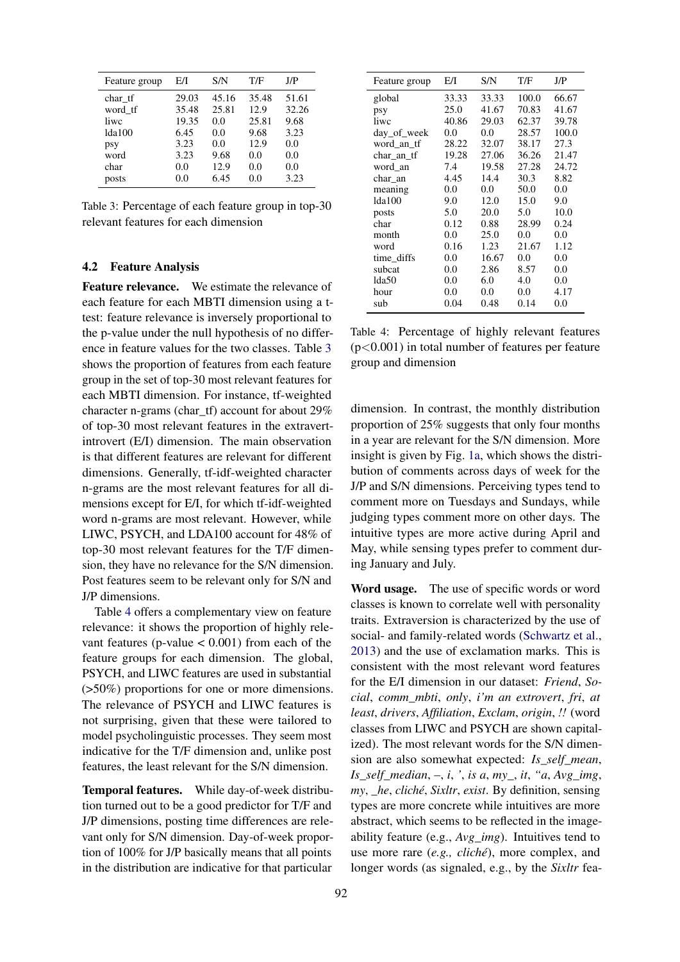| Feature group | EЛ    | S/N   | T/F   | J/P   |
|---------------|-------|-------|-------|-------|
| char tf       | 29.03 | 45.16 | 35.48 | 51.61 |
| word tf       | 35.48 | 25.81 | 12.9  | 32.26 |
| liwc          | 19.35 | 0.0   | 25.81 | 9.68  |
| 1da100        | 6.45  | 0.0   | 9.68  | 3.23  |
| psy           | 3.23  | 0.0   | 12.9  | 0.0   |
| word          | 3.23  | 9.68  | 0.0   | 0.0   |
| char          | 0.0   | 12.9  | 0.0   | 0.0   |
| posts         | 0.0   | 6.45  | 0.0   | 3.23  |

Table 3: Percentage of each feature group in top-30 relevant features for each dimension

#### 4.2 Feature Analysis

Feature relevance. We estimate the relevance of each feature for each MBTI dimension using a ttest: feature relevance is inversely proportional to the p-value under the null hypothesis of no difference in feature values for the two classes. Table 3 shows the proportion of features from each feature group in the set of top-30 most relevant features for each MBTI dimension. For instance, tf-weighted character n-grams (char\_tf) account for about 29% of top-30 most relevant features in the extravertintrovert (E/I) dimension. The main observation is that different features are relevant for different dimensions. Generally, tf-idf-weighted character n-grams are the most relevant features for all dimensions except for E/I, for which tf-idf-weighted word n-grams are most relevant. However, while LIWC, PSYCH, and LDA100 account for 48% of top-30 most relevant features for the T/F dimension, they have no relevance for the S/N dimension. Post features seem to be relevant only for S/N and J/P dimensions.

Table 4 offers a complementary view on feature relevance: it shows the proportion of highly relevant features ( $p$ -value  $< 0.001$ ) from each of the feature groups for each dimension. The global, PSYCH, and LIWC features are used in substantial (>50%) proportions for one or more dimensions. The relevance of PSYCH and LIWC features is not surprising, given that these were tailored to model psycholinguistic processes. They seem most indicative for the T/F dimension and, unlike post features, the least relevant for the S/N dimension.

Temporal features. While day-of-week distribution turned out to be a good predictor for T/F and J/P dimensions, posting time differences are relevant only for S/N dimension. Day-of-week proportion of 100% for J/P basically means that all points in the distribution are indicative for that particular

| Feature group | EЛ    | S/N   | T/F   | J/P   |
|---------------|-------|-------|-------|-------|
| global        | 33.33 | 33.33 | 100.0 | 66.67 |
| psy           | 25.0  | 41.67 | 70.83 | 41.67 |
| liwc          | 40.86 | 29.03 | 62.37 | 39.78 |
| day_of_week   | 0.0   | 0.0   | 28.57 | 100.0 |
| word an tf    | 28.22 | 32.07 | 38.17 | 27.3  |
| char an tf    | 19.28 | 27.06 | 36.26 | 21.47 |
| word an       | 7.4   | 19.58 | 27.28 | 24.72 |
| char an       | 4.45  | 14.4  | 30.3  | 8.82  |
| meaning       | 0.0   | 0.0   | 50.0  | 0.0   |
| 1da100        | 9.0   | 12.0  | 15.0  | 9.0   |
| posts         | 5.0   | 20.0  | 5.0   | 10.0  |
| char          | 0.12  | 0.88  | 28.99 | 0.24  |
| month         | 0.0   | 25.0  | 0.0   | 0.0   |
| word          | 0.16  | 1.23  | 21.67 | 1.12  |
| time_diffs    | 0.0   | 16.67 | 0.0   | 0.0   |
| subcat        | 0.0   | 2.86  | 8.57  | 0.0   |
| lda50         | 0.0   | 6.0   | 4.0   | 0.0   |
| hour          | 0.0   | 0.0   | 0.0   | 4.17  |
| sub           | 0.04  | 0.48  | 0.14  | 0.0   |

Table 4: Percentage of highly relevant features  $(p<0.001)$  in total number of features per feature group and dimension

dimension. In contrast, the monthly distribution proportion of 25% suggests that only four months in a year are relevant for the S/N dimension. More insight is given by Fig. 1a, which shows the distribution of comments across days of week for the J/P and S/N dimensions. Perceiving types tend to comment more on Tuesdays and Sundays, while judging types comment more on other days. The intuitive types are more active during April and May, while sensing types prefer to comment during January and July.

Word usage. The use of specific words or word classes is known to correlate well with personality traits. Extraversion is characterized by the use of social- and family-related words (Schwartz et al., 2013) and the use of exclamation marks. This is consistent with the most relevant word features for the E/I dimension in our dataset: *Friend*, *Social*, *comm\_mbti*, *only*, *i'm an extrovert*, *fri*, *at least*, *drivers*, *Affiliation*, *Exclam*, *origin*, *!!* (word classes from LIWC and PSYCH are shown capitalized). The most relevant words for the S/N dimension are also somewhat expected: *Is\_self\_mean*, *Is\_self\_median*, *–*, *i*, *'*, *is a*, *my\_*, *it*, *"a*, *Avg\_img*, *my*, *\_he*, *cliché*, *Sixltr*, *exist*. By definition, sensing types are more concrete while intuitives are more abstract, which seems to be reflected in the imageability feature (e.g., *Avg\_img*). Intuitives tend to use more rare (*e.g., cliché*), more complex, and longer words (as signaled, e.g., by the *Sixltr* fea-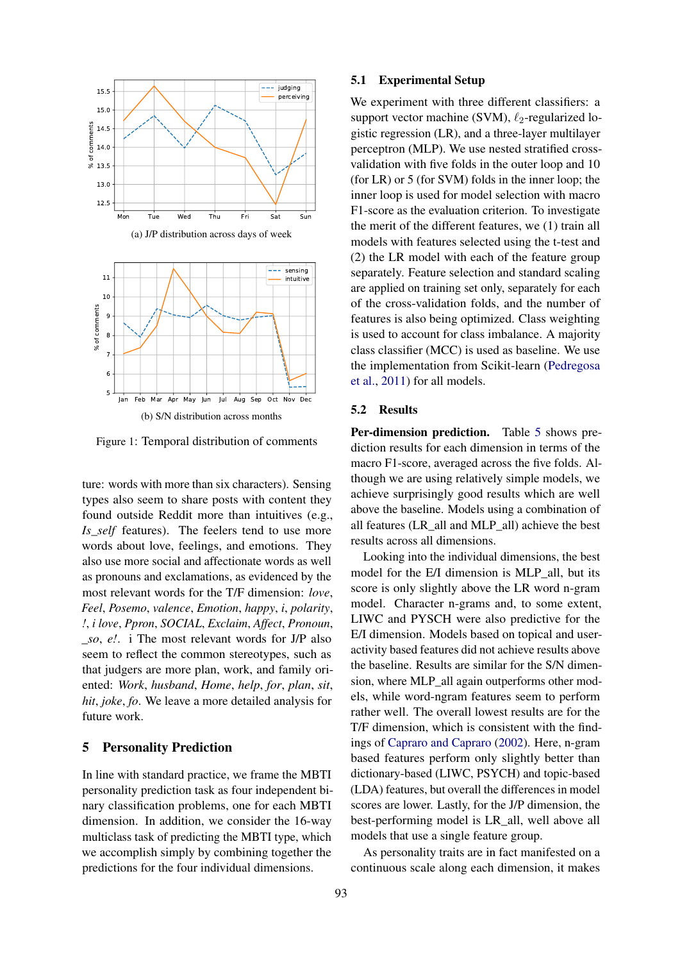





Figure 1: Temporal distribution of comments

ture: words with more than six characters). Sensing types also seem to share posts with content they found outside Reddit more than intuitives (e.g., *Is\_self* features). The feelers tend to use more words about love, feelings, and emotions. They also use more social and affectionate words as well as pronouns and exclamations, as evidenced by the most relevant words for the T/F dimension: *love*, *Feel*, *Posemo*, *valence*, *Emotion*, *happy*, *i*, *polarity*, *!*, *i love*, *Ppron*, *SOCIAL*, *Exclaim*, *Affect*, *Pronoun*, *\_so*, *e!*. i The most relevant words for J/P also seem to reflect the common stereotypes, such as that judgers are more plan, work, and family oriented: *Work*, *husband*, *Home*, *help*, *for*, *plan*, *sit*, *hit*, *joke*, *fo*. We leave a more detailed analysis for future work.

# 5 Personality Prediction

In line with standard practice, we frame the MBTI personality prediction task as four independent binary classification problems, one for each MBTI dimension. In addition, we consider the 16-way multiclass task of predicting the MBTI type, which we accomplish simply by combining together the predictions for the four individual dimensions.

### 5.1 Experimental Setup

We experiment with three different classifiers: a support vector machine (SVM),  $\ell_2$ -regularized logistic regression (LR), and a three-layer multilayer perceptron (MLP). We use nested stratified crossvalidation with five folds in the outer loop and 10 (for LR) or 5 (for SVM) folds in the inner loop; the inner loop is used for model selection with macro F1-score as the evaluation criterion. To investigate the merit of the different features, we (1) train all models with features selected using the t-test and (2) the LR model with each of the feature group separately. Feature selection and standard scaling are applied on training set only, separately for each of the cross-validation folds, and the number of features is also being optimized. Class weighting is used to account for class imbalance. A majority class classifier (MCC) is used as baseline. We use the implementation from Scikit-learn (Pedregosa et al., 2011) for all models.

#### 5.2 Results

Per-dimension prediction. Table 5 shows prediction results for each dimension in terms of the macro F1-score, averaged across the five folds. Although we are using relatively simple models, we achieve surprisingly good results which are well above the baseline. Models using a combination of all features (LR\_all and MLP\_all) achieve the best results across all dimensions.

Looking into the individual dimensions, the best model for the E/I dimension is MLP\_all, but its score is only slightly above the LR word n-gram model. Character n-grams and, to some extent, LIWC and PYSCH were also predictive for the E/I dimension. Models based on topical and useractivity based features did not achieve results above the baseline. Results are similar for the S/N dimension, where MLP\_all again outperforms other models, while word-ngram features seem to perform rather well. The overall lowest results are for the T/F dimension, which is consistent with the findings of Capraro and Capraro (2002). Here, n-gram based features perform only slightly better than dictionary-based (LIWC, PSYCH) and topic-based (LDA) features, but overall the differences in model scores are lower. Lastly, for the J/P dimension, the best-performing model is LR\_all, well above all models that use a single feature group.

As personality traits are in fact manifested on a continuous scale along each dimension, it makes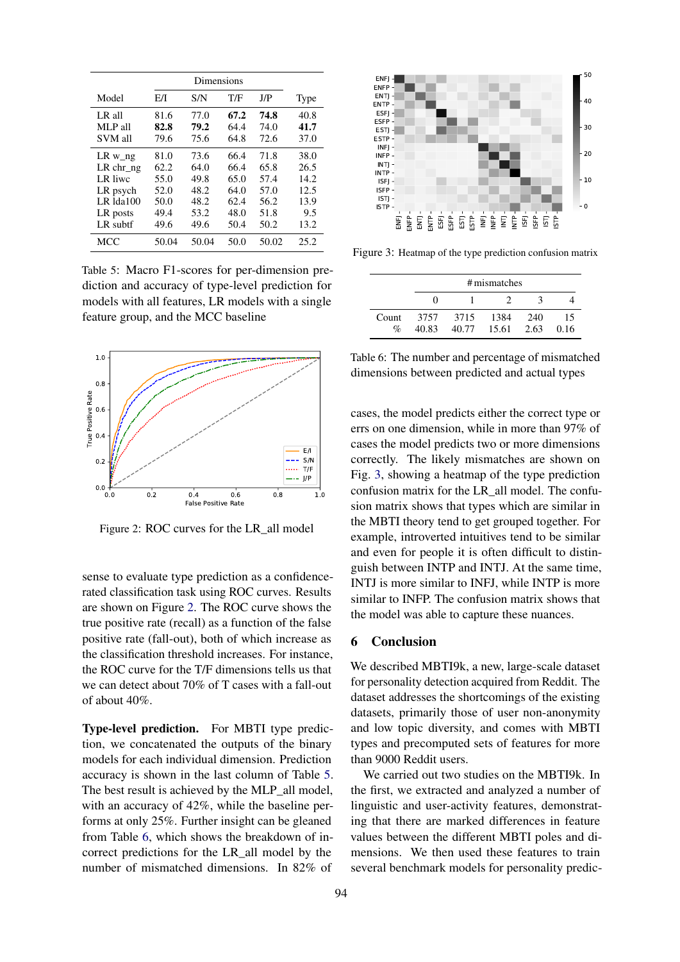|                                                                                           | Dimensions                                           |                                                      |                                                      |                                                      |                                                     |
|-------------------------------------------------------------------------------------------|------------------------------------------------------|------------------------------------------------------|------------------------------------------------------|------------------------------------------------------|-----------------------------------------------------|
| Model                                                                                     | EЛ                                                   | S/N                                                  | T/F                                                  | J/P                                                  | Type                                                |
| LR all<br>MLP all<br>SVM all                                                              | 81.6<br>82.8<br>79.6                                 | 77.0<br>79.2<br>75.6                                 | 67.2<br>64.4<br>64.8                                 | 74.8<br>74.0<br>72.6                                 | 40.8<br>41.7<br>37.0                                |
| $LR w_n$<br>$LR \, chr_n$<br>LR liwc<br>LR psych<br>$LR$ $lda100$<br>LR posts<br>LR subtf | 81.0<br>62.2<br>55.0<br>52.0<br>50.0<br>49.4<br>49.6 | 73.6<br>64.0<br>49.8<br>48.2<br>48.2<br>53.2<br>49.6 | 66.4<br>66.4<br>65.0<br>64.0<br>62.4<br>48.0<br>50.4 | 71.8<br>65.8<br>57.4<br>57.0<br>56.2<br>51.8<br>50.2 | 38.0<br>26.5<br>14.2<br>12.5<br>13.9<br>9.5<br>13.2 |
| <b>MCC</b>                                                                                | 50.04                                                | 50.04                                                | 50.0                                                 | 50.02                                                | 25.2                                                |

Table 5: Macro F1-scores for per-dimension prediction and accuracy of type-level prediction for models with all features, LR models with a single feature group, and the MCC baseline



Figure 2: ROC curves for the LR\_all model

sense to evaluate type prediction as a confidencerated classification task using ROC curves. Results are shown on Figure 2. The ROC curve shows the true positive rate (recall) as a function of the false positive rate (fall-out), both of which increase as the classification threshold increases. For instance, the ROC curve for the T/F dimensions tells us that we can detect about 70% of T cases with a fall-out of about 40%.

Type-level prediction. For MBTI type prediction, we concatenated the outputs of the binary models for each individual dimension. Prediction accuracy is shown in the last column of Table 5. The best result is achieved by the MLP all model, with an accuracy of 42%, while the baseline performs at only 25%. Further insight can be gleaned from Table 6, which shows the breakdown of incorrect predictions for the LR\_all model by the number of mismatched dimensions. In 82% of



Figure 3: Heatmap of the type prediction confusion matrix

|                          |               | # mismatches |                          |     |            |
|--------------------------|---------------|--------------|--------------------------|-----|------------|
|                          |               |              |                          |     |            |
| Count<br>$\mathcal{O}_0$ | 3757<br>40.83 | 3715         | 1384<br>40.77 15.61 2.63 | 240 | 15<br>0.16 |

Table 6: The number and percentage of mismatched dimensions between predicted and actual types

cases, the model predicts either the correct type or errs on one dimension, while in more than 97% of cases the model predicts two or more dimensions correctly. The likely mismatches are shown on Fig. 3, showing a heatmap of the type prediction confusion matrix for the LR\_all model. The confusion matrix shows that types which are similar in the MBTI theory tend to get grouped together. For example, introverted intuitives tend to be similar and even for people it is often difficult to distinguish between INTP and INTJ. At the same time, INTJ is more similar to INFJ, while INTP is more similar to INFP. The confusion matrix shows that the model was able to capture these nuances.

#### 6 Conclusion

We described MBTI9k, a new, large-scale dataset for personality detection acquired from Reddit. The dataset addresses the shortcomings of the existing datasets, primarily those of user non-anonymity and low topic diversity, and comes with MBTI types and precomputed sets of features for more than 9000 Reddit users.

We carried out two studies on the MBTI9k. In the first, we extracted and analyzed a number of linguistic and user-activity features, demonstrating that there are marked differences in feature values between the different MBTI poles and dimensions. We then used these features to train several benchmark models for personality predic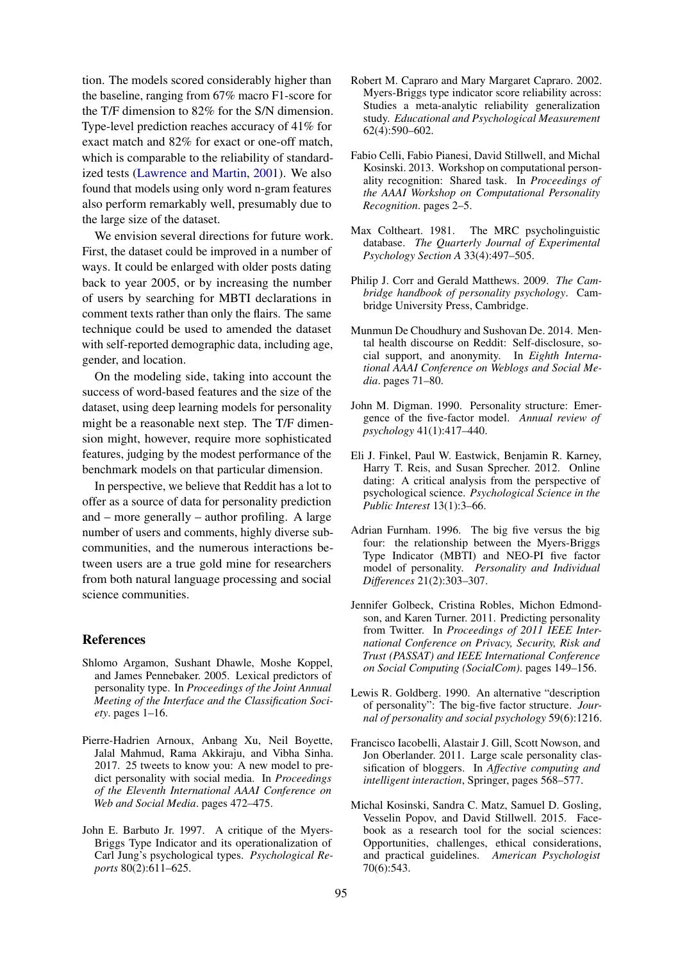tion. The models scored considerably higher than the baseline, ranging from 67% macro F1-score for the T/F dimension to 82% for the S/N dimension. Type-level prediction reaches accuracy of 41% for exact match and 82% for exact or one-off match, which is comparable to the reliability of standardized tests (Lawrence and Martin, 2001). We also found that models using only word n-gram features also perform remarkably well, presumably due to the large size of the dataset.

We envision several directions for future work. First, the dataset could be improved in a number of ways. It could be enlarged with older posts dating back to year 2005, or by increasing the number of users by searching for MBTI declarations in comment texts rather than only the flairs. The same technique could be used to amended the dataset with self-reported demographic data, including age, gender, and location.

On the modeling side, taking into account the success of word-based features and the size of the dataset, using deep learning models for personality might be a reasonable next step. The T/F dimension might, however, require more sophisticated features, judging by the modest performance of the benchmark models on that particular dimension.

In perspective, we believe that Reddit has a lot to offer as a source of data for personality prediction and – more generally – author profiling. A large number of users and comments, highly diverse subcommunities, and the numerous interactions between users are a true gold mine for researchers from both natural language processing and social science communities.

#### References

- Shlomo Argamon, Sushant Dhawle, Moshe Koppel, and James Pennebaker. 2005. Lexical predictors of personality type. In *Proceedings of the Joint Annual Meeting of the Interface and the Classification Society*. pages 1–16.
- Pierre-Hadrien Arnoux, Anbang Xu, Neil Boyette, Jalal Mahmud, Rama Akkiraju, and Vibha Sinha. 2017. 25 tweets to know you: A new model to predict personality with social media. In *Proceedings of the Eleventh International AAAI Conference on Web and Social Media*. pages 472–475.
- John E. Barbuto Jr. 1997. A critique of the Myers-Briggs Type Indicator and its operationalization of Carl Jung's psychological types. *Psychological Reports* 80(2):611–625.
- Robert M. Capraro and Mary Margaret Capraro. 2002. Myers-Briggs type indicator score reliability across: Studies a meta-analytic reliability generalization study. *Educational and Psychological Measurement* 62(4):590–602.
- Fabio Celli, Fabio Pianesi, David Stillwell, and Michal Kosinski. 2013. Workshop on computational personality recognition: Shared task. In *Proceedings of the AAAI Workshop on Computational Personality Recognition*. pages 2–5.
- Max Coltheart. 1981. The MRC psycholinguistic database. *The Quarterly Journal of Experimental Psychology Section A* 33(4):497–505.
- Philip J. Corr and Gerald Matthews. 2009. *The Cambridge handbook of personality psychology*. Cambridge University Press, Cambridge.
- Munmun De Choudhury and Sushovan De. 2014. Mental health discourse on Reddit: Self-disclosure, social support, and anonymity. In *Eighth International AAAI Conference on Weblogs and Social Media*. pages 71–80.
- John M. Digman. 1990. Personality structure: Emergence of the five-factor model. *Annual review of psychology* 41(1):417–440.
- Eli J. Finkel, Paul W. Eastwick, Benjamin R. Karney, Harry T. Reis, and Susan Sprecher. 2012. Online dating: A critical analysis from the perspective of psychological science. *Psychological Science in the Public Interest* 13(1):3–66.
- Adrian Furnham. 1996. The big five versus the big four: the relationship between the Myers-Briggs Type Indicator (MBTI) and NEO-PI five factor model of personality. *Personality and Individual Differences* 21(2):303–307.
- Jennifer Golbeck, Cristina Robles, Michon Edmondson, and Karen Turner. 2011. Predicting personality from Twitter. In *Proceedings of 2011 IEEE International Conference on Privacy, Security, Risk and Trust (PASSAT) and IEEE International Conference on Social Computing (SocialCom)*. pages 149–156.
- Lewis R. Goldberg. 1990. An alternative "description of personality": The big-five factor structure. *Journal of personality and social psychology* 59(6):1216.
- Francisco Iacobelli, Alastair J. Gill, Scott Nowson, and Jon Oberlander. 2011. Large scale personality classification of bloggers. In *Affective computing and intelligent interaction*, Springer, pages 568–577.
- Michal Kosinski, Sandra C. Matz, Samuel D. Gosling, Vesselin Popov, and David Stillwell. 2015. Facebook as a research tool for the social sciences: Opportunities, challenges, ethical considerations, and practical guidelines. *American Psychologist* 70(6):543.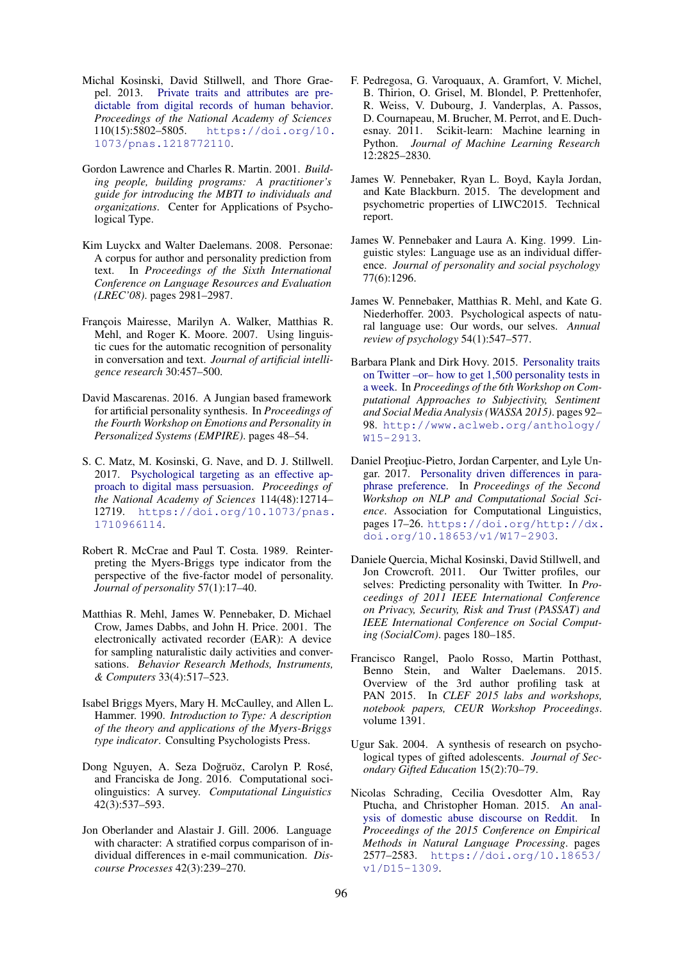- Michal Kosinski, David Stillwell, and Thore Graepel. 2013. Private traits and attributes are predictable from digital records of human behavior. *Proceedings of the National Academy of Sciences* 110(15):5802–5805. https://doi.org/10. 1073/pnas.1218772110.
- Gordon Lawrence and Charles R. Martin. 2001. *Building people, building programs: A practitioner's guide for introducing the MBTI to individuals and organizations*. Center for Applications of Psychological Type.
- Kim Luyckx and Walter Daelemans. 2008. Personae: A corpus for author and personality prediction from text. In *Proceedings of the Sixth International Conference on Language Resources and Evaluation (LREC'08)*. pages 2981–2987.
- François Mairesse, Marilyn A. Walker, Matthias R. Mehl, and Roger K. Moore. 2007. Using linguistic cues for the automatic recognition of personality in conversation and text. *Journal of artificial intelligence research* 30:457–500.
- David Mascarenas. 2016. A Jungian based framework for artificial personality synthesis. In *Proceedings of the Fourth Workshop on Emotions and Personality in Personalized Systems (EMPIRE)*. pages 48–54.
- S. C. Matz, M. Kosinski, G. Nave, and D. J. Stillwell. 2017. Psychological targeting as an effective approach to digital mass persuasion. *Proceedings of the National Academy of Sciences* 114(48):12714– 12719. https://doi.org/10.1073/pnas. 1710966114.
- Robert R. McCrae and Paul T. Costa. 1989. Reinterpreting the Myers-Briggs type indicator from the perspective of the five-factor model of personality. *Journal of personality* 57(1):17–40.
- Matthias R. Mehl, James W. Pennebaker, D. Michael Crow, James Dabbs, and John H. Price. 2001. The electronically activated recorder (EAR): A device for sampling naturalistic daily activities and conversations. *Behavior Research Methods, Instruments, & Computers* 33(4):517–523.
- Isabel Briggs Myers, Mary H. McCaulley, and Allen L. Hammer. 1990. *Introduction to Type: A description of the theory and applications of the Myers-Briggs type indicator*. Consulting Psychologists Press.
- Dong Nguyen, A. Seza Doğruöz, Carolyn P. Rosé, and Franciska de Jong. 2016. Computational sociolinguistics: A survey. *Computational Linguistics* 42(3):537–593.
- Jon Oberlander and Alastair J. Gill. 2006. Language with character: A stratified corpus comparison of individual differences in e-mail communication. *Discourse Processes* 42(3):239–270.
- F. Pedregosa, G. Varoquaux, A. Gramfort, V. Michel, B. Thirion, O. Grisel, M. Blondel, P. Prettenhofer, R. Weiss, V. Dubourg, J. Vanderplas, A. Passos, D. Cournapeau, M. Brucher, M. Perrot, and E. Duchesnay. 2011. Scikit-learn: Machine learning in Python. *Journal of Machine Learning Research* 12:2825–2830.
- James W. Pennebaker, Ryan L. Boyd, Kayla Jordan, and Kate Blackburn. 2015. The development and psychometric properties of LIWC2015. Technical report.
- James W. Pennebaker and Laura A. King. 1999. Linguistic styles: Language use as an individual difference. *Journal of personality and social psychology* 77(6):1296.
- James W. Pennebaker, Matthias R. Mehl, and Kate G. Niederhoffer. 2003. Psychological aspects of natural language use: Our words, our selves. *Annual review of psychology* 54(1):547–577.
- Barbara Plank and Dirk Hovy. 2015. Personality traits on Twitter –or– how to get 1,500 personality tests in a week. In *Proceedings of the 6th Workshop on Computational Approaches to Subjectivity, Sentiment and Social Media Analysis (WASSA 2015)*. pages 92– 98. http://www.aclweb.org/anthology/ W15-2913.
- Daniel Preoțiuc-Pietro, Jordan Carpenter, and Lyle Ungar. 2017. Personality driven differences in paraphrase preference. In *Proceedings of the Second Workshop on NLP and Computational Social Science*. Association for Computational Linguistics, pages 17–26. https://doi.org/http://dx. doi.org/10.18653/v1/W17-2903.
- Daniele Quercia, Michal Kosinski, David Stillwell, and Jon Crowcroft. 2011. Our Twitter profiles, our selves: Predicting personality with Twitter. In *Proceedings of 2011 IEEE International Conference on Privacy, Security, Risk and Trust (PASSAT) and IEEE International Conference on Social Computing (SocialCom)*. pages 180–185.
- Francisco Rangel, Paolo Rosso, Martin Potthast, Benno Stein, and Walter Daelemans. 2015. Overview of the 3rd author profiling task at PAN 2015. In *CLEF 2015 labs and workshops, notebook papers, CEUR Workshop Proceedings*. volume 1391.
- Ugur Sak. 2004. A synthesis of research on psychological types of gifted adolescents. *Journal of Secondary Gifted Education* 15(2):70–79.
- Nicolas Schrading, Cecilia Ovesdotter Alm, Ray Ptucha, and Christopher Homan. 2015. An analysis of domestic abuse discourse on Reddit. In *Proceedings of the 2015 Conference on Empirical Methods in Natural Language Processing*. pages 2577–2583. https://doi.org/10.18653/ v1/D15-1309.